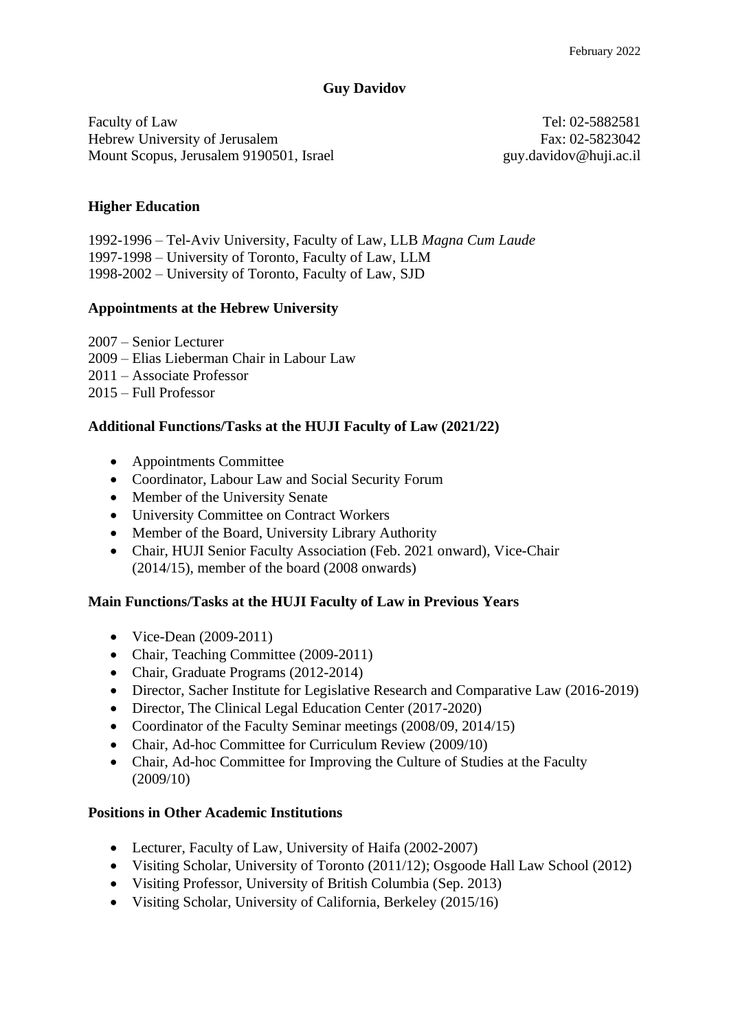### **Guy Davidov**

Faculty of Law Hebrew University of Jerusalem Mount Scopus, Jerusalem 9190501, Israel

Tel: 02-5882581 Fax: 02-5823042 guy.davidov@huji.ac.il

### **Higher Education**

1992-1996 – Tel-Aviv University, Faculty of Law, LLB *Magna Cum Laude* 1997-1998 – University of Toronto, Faculty of Law, LLM 1998-2002 – University of Toronto, Faculty of Law, SJD

### **Appointments at the Hebrew University**

2007 – Senior Lecturer 2009 – Elias Lieberman Chair in Labour Law 2011 – Associate Professor

2015 – Full Professor

### **Additional Functions/Tasks at the HUJI Faculty of Law (2021/22)**

- Appointments Committee
- Coordinator, Labour Law and Social Security Forum
- Member of the University Senate
- University Committee on Contract Workers
- Member of the Board, University Library Authority
- Chair, HUJI Senior Faculty Association (Feb. 2021 onward), Vice-Chair (2014/15), member of the board (2008 onwards)

### **Main Functions/Tasks at the HUJI Faculty of Law in Previous Years**

- Vice-Dean (2009-2011)
- Chair, Teaching Committee (2009-2011)
- Chair, Graduate Programs (2012-2014)
- Director, Sacher Institute for Legislative Research and Comparative Law (2016-2019)
- Director, The Clinical Legal Education Center (2017-2020)
- Coordinator of the Faculty Seminar meetings (2008/09, 2014/15)
- Chair, Ad-hoc Committee for Curriculum Review (2009/10)
- Chair, Ad-hoc Committee for Improving the Culture of Studies at the Faculty (2009/10)

### **Positions in Other Academic Institutions**

- Lecturer, Faculty of Law, University of Haifa (2002-2007)
- Visiting Scholar, University of Toronto (2011/12); Osgoode Hall Law School (2012)
- Visiting Professor, University of British Columbia (Sep. 2013)
- Visiting Scholar, University of California, Berkeley (2015/16)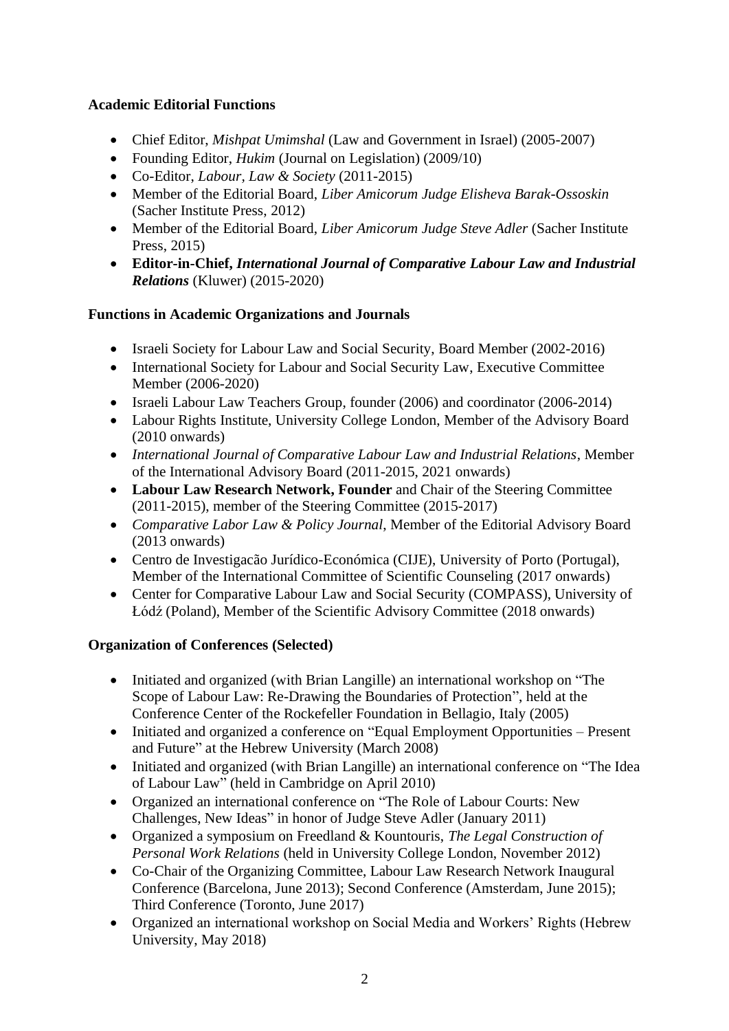# **Academic Editorial Functions**

- Chief Editor, *Mishpat Umimshal* (Law and Government in Israel) (2005-2007)
- Founding Editor, *Hukim* (Journal on Legislation) (2009/10)
- Co-Editor, *Labour, Law & Society* (2011-2015)
- Member of the Editorial Board, *Liber Amicorum Judge Elisheva Barak-Ossoskin* (Sacher Institute Press, 2012)
- Member of the Editorial Board, *Liber Amicorum Judge Steve Adler* (Sacher Institute Press, 2015)
- **Editor-in-Chief,** *International Journal of Comparative Labour Law and Industrial Relations* (Kluwer) (2015-2020)

# **Functions in Academic Organizations and Journals**

- Israeli Society for Labour Law and Social Security, Board Member (2002-2016)
- International Society for Labour and Social Security Law, Executive Committee Member (2006-2020)
- Israeli Labour Law Teachers Group, founder (2006) and coordinator (2006-2014)
- Labour Rights Institute, University College London, Member of the Advisory Board (2010 onwards)
- *International Journal of Comparative Labour Law and Industrial Relations*, Member of the International Advisory Board (2011-2015, 2021 onwards)
- **Labour Law Research Network, Founder** and Chair of the Steering Committee (2011-2015), member of the Steering Committee (2015-2017)
- *Comparative Labor Law & Policy Journal*, Member of the Editorial Advisory Board (2013 onwards)
- Centro de Investigacão Jurídico-Económica (CIJE), University of Porto (Portugal), Member of the International Committee of Scientific Counseling (2017 onwards)
- Center for Comparative Labour Law and Social Security (COMPASS), University of Łódź (Poland), Member of the Scientific Advisory Committee (2018 onwards)

# **Organization of Conferences (Selected)**

- Initiated and organized (with Brian Langille) an international workshop on "The Scope of Labour Law: Re-Drawing the Boundaries of Protection", held at the Conference Center of the Rockefeller Foundation in Bellagio, Italy (2005)
- Initiated and organized a conference on "Equal Employment Opportunities Present and Future" at the Hebrew University (March 2008)
- Initiated and organized (with Brian Langille) an international conference on "The Idea of Labour Law" (held in Cambridge on April 2010)
- Organized an international conference on "The Role of Labour Courts: New Challenges, New Ideas" in honor of Judge Steve Adler (January 2011)
- Organized a symposium on Freedland & Kountouris, *The Legal Construction of Personal Work Relations* (held in University College London, November 2012)
- Co-Chair of the Organizing Committee, Labour Law Research Network Inaugural Conference (Barcelona, June 2013); Second Conference (Amsterdam, June 2015); Third Conference (Toronto, June 2017)
- Organized an international workshop on Social Media and Workers' Rights (Hebrew University, May 2018)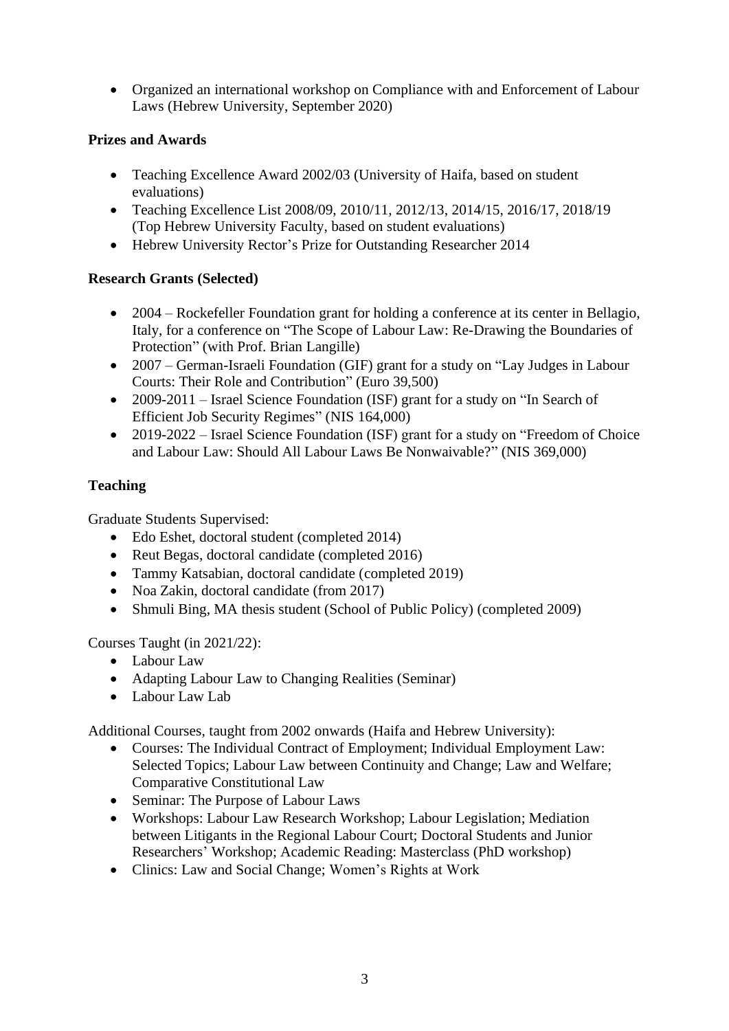• Organized an international workshop on Compliance with and Enforcement of Labour Laws (Hebrew University, September 2020)

# **Prizes and Awards**

- Teaching Excellence Award 2002/03 (University of Haifa, based on student evaluations)
- Teaching Excellence List 2008/09, 2010/11, 2012/13, 2014/15, 2016/17, 2018/19 (Top Hebrew University Faculty, based on student evaluations)
- Hebrew University Rector's Prize for Outstanding Researcher 2014

## **Research Grants (Selected)**

- 2004 Rockefeller Foundation grant for holding a conference at its center in Bellagio, Italy, for a conference on "The Scope of Labour Law: Re-Drawing the Boundaries of Protection" (with Prof. Brian Langille)
- 2007 German-Israeli Foundation (GIF) grant for a study on "Lay Judges in Labour" Courts: Their Role and Contribution" (Euro 39,500)
- 2009-2011 Israel Science Foundation (ISF) grant for a study on "In Search of Efficient Job Security Regimes" (NIS 164,000)
- 2019-2022 Israel Science Foundation (ISF) grant for a study on "Freedom of Choice" and Labour Law: Should All Labour Laws Be Nonwaivable?" (NIS 369,000)

# **Teaching**

Graduate Students Supervised:

- Edo Eshet, doctoral student (completed 2014)
- Reut Begas, doctoral candidate (completed 2016)
- Tammy Katsabian, doctoral candidate (completed 2019)
- Noa Zakin, doctoral candidate (from 2017)
- Shmuli Bing, MA thesis student (School of Public Policy) (completed 2009)

Courses Taught (in 2021/22):

- Labour Law
- Adapting Labour Law to Changing Realities (Seminar)
- Labour Law Lab

Additional Courses, taught from 2002 onwards (Haifa and Hebrew University):

- Courses: The Individual Contract of Employment: Individual Employment Law: Selected Topics; Labour Law between Continuity and Change; Law and Welfare; Comparative Constitutional Law
- Seminar: The Purpose of Labour Laws
- Workshops: Labour Law Research Workshop; Labour Legislation; Mediation between Litigants in the Regional Labour Court; Doctoral Students and Junior Researchers' Workshop; Academic Reading: Masterclass (PhD workshop)
- Clinics: Law and Social Change; Women's Rights at Work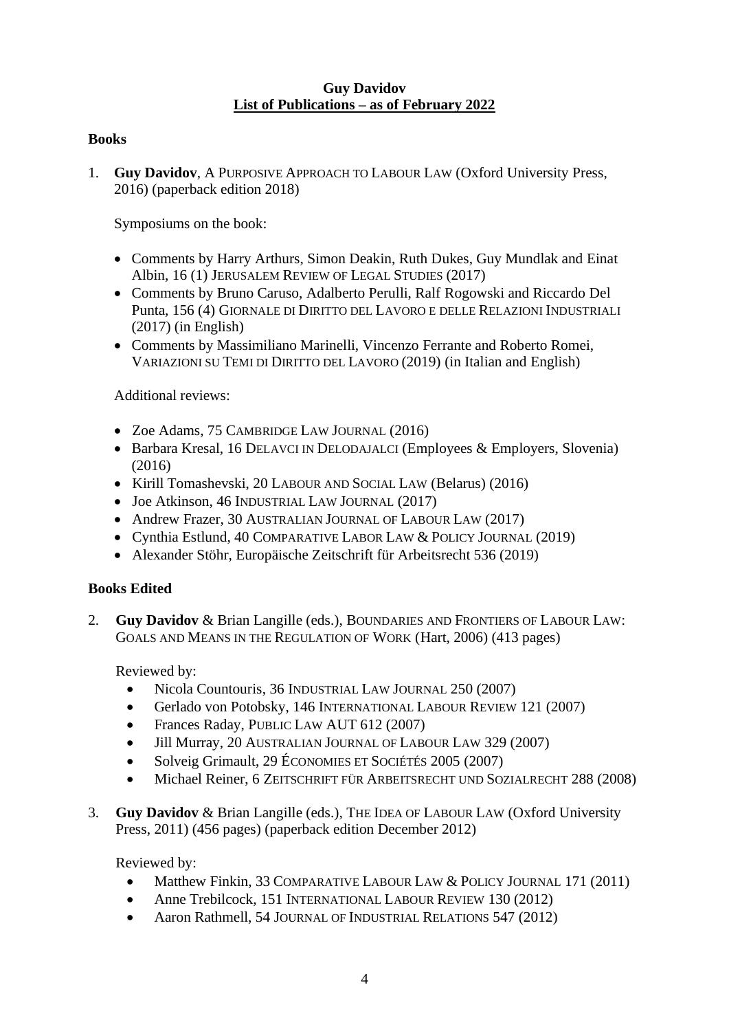## **Guy Davidov List of Publications – as of February 2022**

### **Books**

1. **Guy Davidov**, A PURPOSIVE APPROACH TO LABOUR LAW (Oxford University Press, 2016) (paperback edition 2018)

Symposiums on the book:

- Comments by Harry Arthurs, Simon Deakin, Ruth Dukes, Guy Mundlak and Einat Albin, 16 (1) JERUSALEM REVIEW OF LEGAL STUDIES (2017)
- Comments by Bruno Caruso, Adalberto Perulli, Ralf Rogowski and Riccardo Del Punta, 156 (4) GIORNALE DI DIRITTO DEL LAVORO E DELLE RELAZIONI INDUSTRIALI (2017) (in English)
- Comments by Massimiliano Marinelli, Vincenzo Ferrante and Roberto Romei, VARIAZIONI SU TEMI DI DIRITTO DEL LAVORO (2019) (in Italian and English)

Additional reviews:

- Zoe Adams, 75 CAMBRIDGE LAW JOURNAL (2016)
- Barbara Kresal, 16 DELAVCI IN DELODAJALCI (Employees & Employers, Slovenia) (2016)
- Kirill Tomashevski, 20 LABOUR AND SOCIAL LAW (Belarus) (2016)
- Joe Atkinson, 46 INDUSTRIAL LAW JOURNAL (2017)
- Andrew Frazer, 30 AUSTRALIAN JOURNAL OF LABOUR LAW (2017)
- Cynthia Estlund, 40 COMPARATIVE LABOR LAW & POLICY JOURNAL (2019)
- Alexander Stöhr, Europäische Zeitschrift für Arbeitsrecht 536 (2019)

## **Books Edited**

2. **Guy Davidov** & Brian Langille (eds.), BOUNDARIES AND FRONTIERS OF LABOUR LAW: GOALS AND MEANS IN THE REGULATION OF WORK (Hart, 2006) (413 pages)

Reviewed by:

- Nicola Countouris, 36 INDUSTRIAL LAW JOURNAL 250 (2007)
- Gerlado von Potobsky, 146 INTERNATIONAL LABOUR REVIEW 121 (2007)
- Frances Raday, PUBLIC LAW AUT 612 (2007)
- Jill Murray, 20 AUSTRALIAN JOURNAL OF LABOUR LAW 329 (2007)
- Solveig Grimault, 29 ÉCONOMIES ET SOCIÉTÉS 2005 (2007)
- Michael Reiner, 6 ZEITSCHRIFT FÜR ARBEITSRECHT UND SOZIALRECHT 288 (2008)
- 3. **Guy Davidov** & Brian Langille (eds.), THE IDEA OF LABOUR LAW (Oxford University Press, 2011) (456 pages) (paperback edition December 2012)

Reviewed by:

- Matthew Finkin, 33 COMPARATIVE LABOUR LAW & POLICY JOURNAL 171 (2011)
- Anne Trebilcock, 151 INTERNATIONAL LABOUR REVIEW 130 (2012)
- Aaron Rathmell, 54 JOURNAL OF INDUSTRIAL RELATIONS 547 (2012)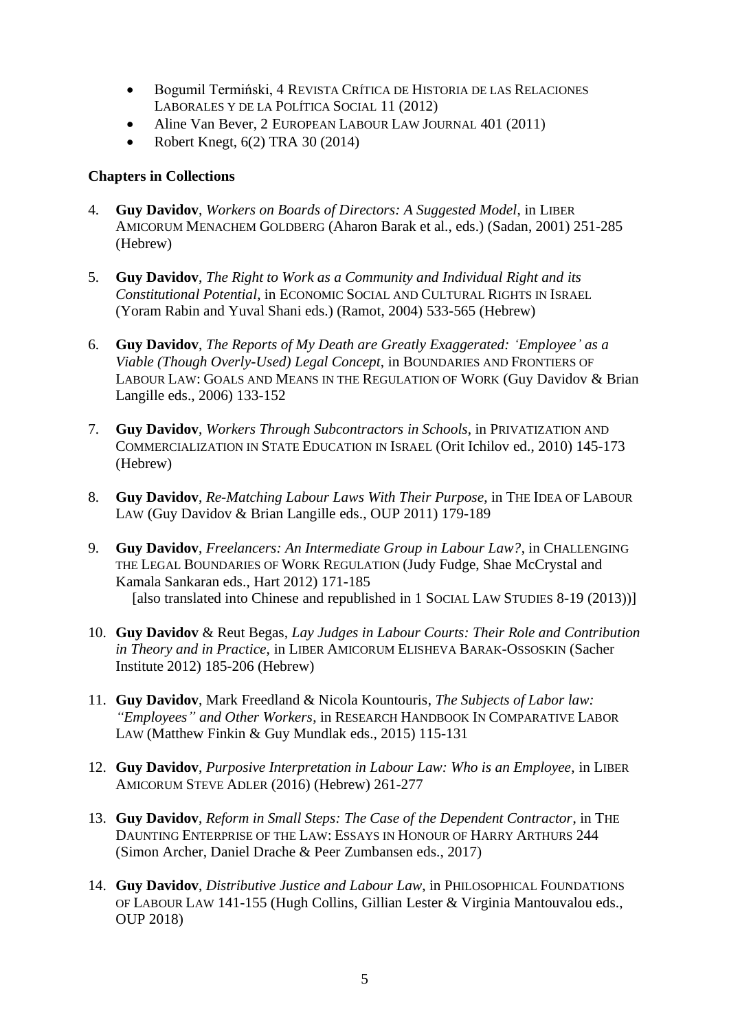- Bogumil Termiński, 4 REVISTA CRÍTICA DE HISTORIA DE LAS RELACIONES LABORALES Y DE LA POLÍTICA SOCIAL 11 (2012)
- Aline Van Bever, 2 EUROPEAN LABOUR LAW JOURNAL 401 (2011)
- Robert Knegt,  $6(2)$  TRA 30 (2014)

# **Chapters in Collections**

- 4. **Guy Davidov**, *Workers on Boards of Directors: A Suggested Model*, in LIBER AMICORUM MENACHEM GOLDBERG (Aharon Barak et al., eds.) (Sadan, 2001) 251-285 (Hebrew)
- 5. **Guy Davidov**, *The Right to Work as a Community and Individual Right and its Constitutional Potential*, in ECONOMIC SOCIAL AND CULTURAL RIGHTS IN ISRAEL (Yoram Rabin and Yuval Shani eds.) (Ramot, 2004) 533-565 (Hebrew)
- 6. **Guy Davidov**, *The Reports of My Death are Greatly Exaggerated: 'Employee' as a Viable (Though Overly-Used) Legal Concept*, in BOUNDARIES AND FRONTIERS OF LABOUR LAW: GOALS AND MEANS IN THE REGULATION OF WORK (Guy Davidov & Brian Langille eds., 2006) 133-152
- 7. **Guy Davidov**, *Workers Through Subcontractors in Schools*, in PRIVATIZATION AND COMMERCIALIZATION IN STATE EDUCATION IN ISRAEL (Orit Ichilov ed., 2010) 145-173 (Hebrew)
- 8. **Guy Davidov**, *Re-Matching Labour Laws With Their Purpose*, in THE IDEA OF LABOUR LAW (Guy Davidov & Brian Langille eds., OUP 2011) 179-189
- 9. **Guy Davidov**, *Freelancers: An Intermediate Group in Labour Law?*, in CHALLENGING THE LEGAL BOUNDARIES OF WORK REGULATION (Judy Fudge, Shae McCrystal and Kamala Sankaran eds., Hart 2012) 171-185 [also translated into Chinese and republished in 1 SOCIAL LAW STUDIES 8-19 (2013))]
- 10. **Guy Davidov** & Reut Begas, *Lay Judges in Labour Courts: Their Role and Contribution in Theory and in Practice*, in LIBER AMICORUM ELISHEVA BARAK-OSSOSKIN (Sacher Institute 2012) 185-206 (Hebrew)
- 11. **Guy Davidov**, Mark Freedland & Nicola Kountouris, *The Subjects of Labor law: "Employees" and Other Workers*, in RESEARCH HANDBOOK IN COMPARATIVE LABOR LAW (Matthew Finkin & Guy Mundlak eds., 2015) 115-131
- 12. **Guy Davidov**, *Purposive Interpretation in Labour Law: Who is an Employee*, in LIBER AMICORUM STEVE ADLER (2016) (Hebrew) 261-277
- 13. **Guy Davidov**, *Reform in Small Steps: The Case of the Dependent Contractor*, in THE DAUNTING ENTERPRISE OF THE LAW: ESSAYS IN HONOUR OF HARRY ARTHURS 244 (Simon Archer, Daniel Drache & Peer Zumbansen eds., 2017)
- 14. **Guy Davidov**, *Distributive Justice and Labour Law*, in PHILOSOPHICAL FOUNDATIONS OF LABOUR LAW 141-155 (Hugh Collins, Gillian Lester & Virginia Mantouvalou eds., OUP 2018)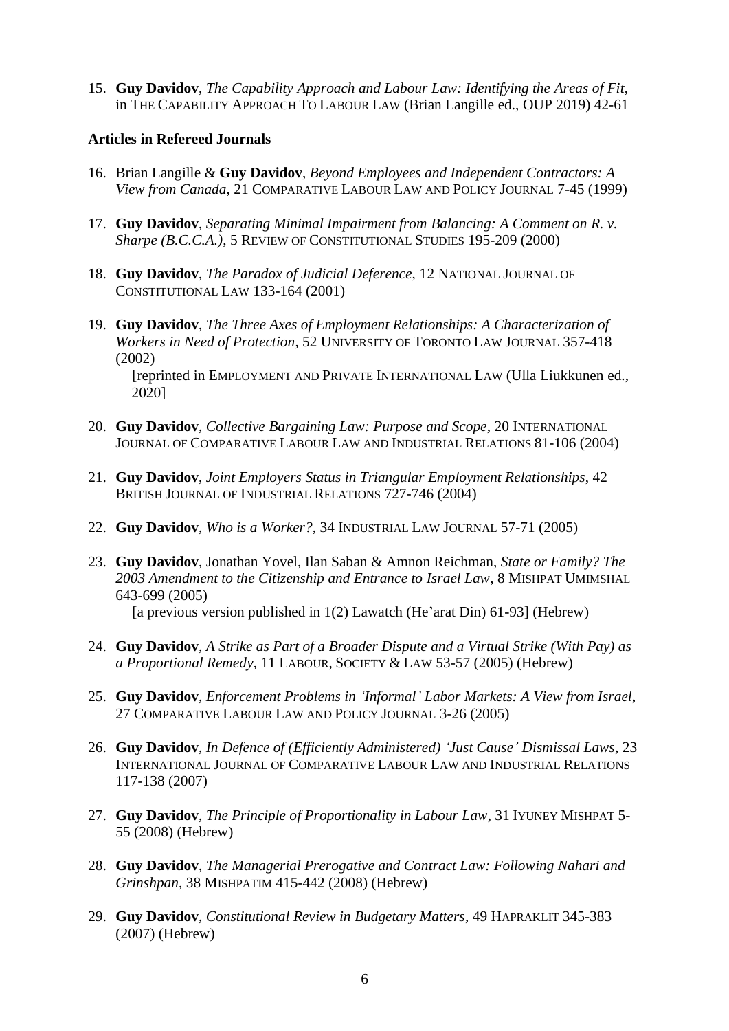15. **Guy Davidov**, *The Capability Approach and Labour Law: Identifying the Areas of Fit*, in THE CAPABILITY APPROACH TO LABOUR LAW (Brian Langille ed., OUP 2019) 42-61

### **Articles in Refereed Journals**

- 16. Brian Langille & **Guy Davidov**, *Beyond Employees and Independent Contractors: A View from Canada*, 21 COMPARATIVE LABOUR LAW AND POLICY JOURNAL 7-45 (1999)
- 17. **Guy Davidov**, *Separating Minimal Impairment from Balancing: A Comment on R. v. Sharpe (B.C.C.A.)*, 5 REVIEW OF CONSTITUTIONAL STUDIES 195-209 (2000)
- 18. **Guy Davidov**, *The Paradox of Judicial Deference*, 12 NATIONAL JOURNAL OF CONSTITUTIONAL LAW 133-164 (2001)
- 19. **Guy Davidov**, *The Three Axes of Employment Relationships: A Characterization of Workers in Need of Protection*, 52 UNIVERSITY OF TORONTO LAW JOURNAL 357-418 (2002)

[reprinted in EMPLOYMENT AND PRIVATE INTERNATIONAL LAW (Ulla Liukkunen ed., 2020]

- 20. **Guy Davidov**, *Collective Bargaining Law: Purpose and Scope*, 20 INTERNATIONAL JOURNAL OF COMPARATIVE LABOUR LAW AND INDUSTRIAL RELATIONS 81-106 (2004)
- 21. **Guy Davidov**, *Joint Employers Status in Triangular Employment Relationships*, 42 BRITISH JOURNAL OF INDUSTRIAL RELATIONS 727-746 (2004)
- 22. **Guy Davidov**, *Who is a Worker?*, 34 INDUSTRIAL LAW JOURNAL 57-71 (2005)
- 23. **Guy Davidov**, Jonathan Yovel, Ilan Saban & Amnon Reichman, *State or Family? The 2003 Amendment to the Citizenship and Entrance to Israel Law*, 8 MISHPAT UMIMSHAL 643-699 (2005)

[a previous version published in 1(2) Lawatch (He'arat Din) 61-93] (Hebrew)

- 24. **Guy Davidov**, *A Strike as Part of a Broader Dispute and a Virtual Strike (With Pay) as a Proportional Remedy*, 11 LABOUR, SOCIETY & LAW 53-57 (2005) (Hebrew)
- 25. **Guy Davidov**, *Enforcement Problems in 'Informal' Labor Markets: A View from Israel*, 27 COMPARATIVE LABOUR LAW AND POLICY JOURNAL 3-26 (2005)
- 26. **Guy Davidov**, *In Defence of (Efficiently Administered) 'Just Cause' Dismissal Laws*, 23 INTERNATIONAL JOURNAL OF COMPARATIVE LABOUR LAW AND INDUSTRIAL RELATIONS 117-138 (2007)
- 27. **Guy Davidov**, *The Principle of Proportionality in Labour Law*, 31 IYUNEY MISHPAT 5- 55 (2008) (Hebrew)
- 28. **Guy Davidov**, *The Managerial Prerogative and Contract Law: Following Nahari and Grinshpan*, 38 MISHPATIM 415-442 (2008) (Hebrew)
- 29. **Guy Davidov**, *Constitutional Review in Budgetary Matters*, 49 HAPRAKLIT 345-383 (2007) (Hebrew)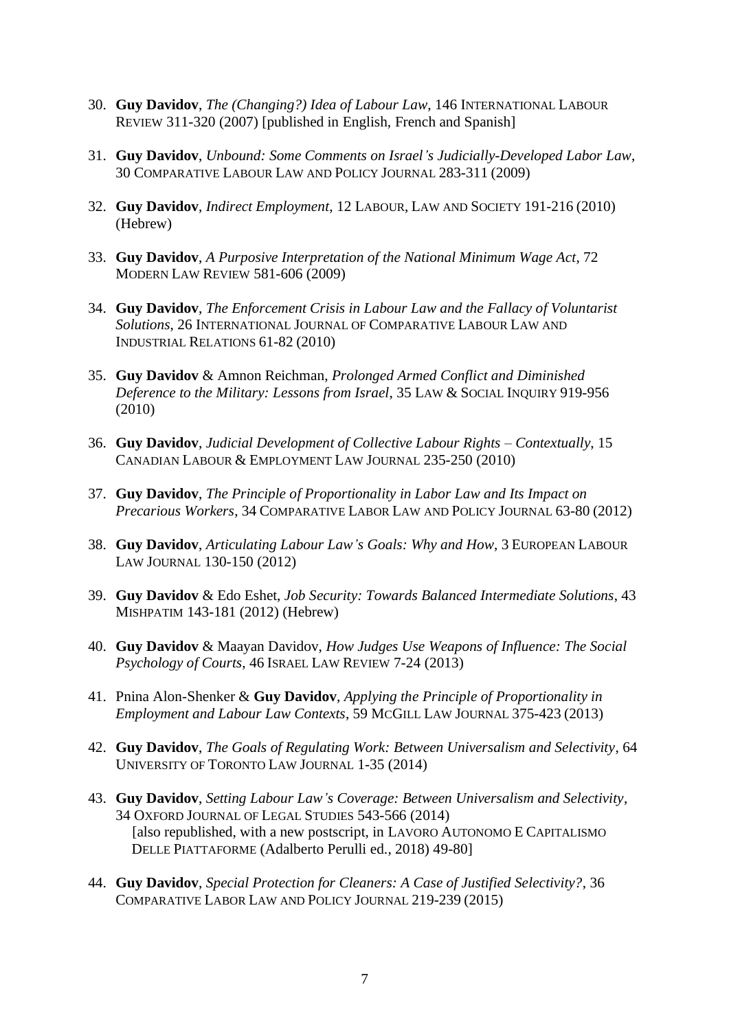- 30. **Guy Davidov**, *The (Changing?) Idea of Labour Law*, 146 INTERNATIONAL LABOUR REVIEW 311-320 (2007) [published in English, French and Spanish]
- 31. **Guy Davidov**, *Unbound: Some Comments on Israel's Judicially-Developed Labor Law*, 30 COMPARATIVE LABOUR LAW AND POLICY JOURNAL 283-311 (2009)
- 32. **Guy Davidov**, *Indirect Employment*, 12 LABOUR, LAW AND SOCIETY 191-216 (2010) (Hebrew)
- 33. **Guy Davidov**, *A Purposive Interpretation of the National Minimum Wage Act*, 72 MODERN LAW REVIEW 581-606 (2009)
- 34. **Guy Davidov**, *The Enforcement Crisis in Labour Law and the Fallacy of Voluntarist Solutions*, 26 INTERNATIONAL JOURNAL OF COMPARATIVE LABOUR LAW AND INDUSTRIAL RELATIONS 61-82 (2010)
- 35. **Guy Davidov** & Amnon Reichman, *Prolonged Armed Conflict and Diminished Deference to the Military: Lessons from Israel*, 35 LAW & SOCIAL INQUIRY 919-956 (2010)
- 36. **Guy Davidov**, *Judicial Development of Collective Labour Rights – Contextually*, 15 CANADIAN LABOUR & EMPLOYMENT LAW JOURNAL 235-250 (2010)
- 37. **Guy Davidov**, *The Principle of Proportionality in Labor Law and Its Impact on Precarious Workers*, 34 COMPARATIVE LABOR LAW AND POLICY JOURNAL 63-80 (2012)
- 38. **Guy Davidov**, *Articulating Labour Law's Goals: Why and How*, 3 EUROPEAN LABOUR LAW JOURNAL 130-150 (2012)
- 39. **Guy Davidov** & Edo Eshet, *Job Security: Towards Balanced Intermediate Solutions*, 43 MISHPATIM 143-181 (2012) (Hebrew)
- 40. **Guy Davidov** & Maayan Davidov, *How Judges Use Weapons of Influence: The Social Psychology of Courts*, 46 ISRAEL LAW REVIEW 7-24 (2013)
- 41. Pnina Alon-Shenker & **Guy Davidov**, *Applying the Principle of Proportionality in Employment and Labour Law Contexts*, 59 MCGILL LAW JOURNAL 375-423 (2013)
- 42. **Guy Davidov**, *The Goals of Regulating Work: Between Universalism and Selectivity*, 64 UNIVERSITY OF TORONTO LAW JOURNAL 1-35 (2014)
- 43. **Guy Davidov**, *Setting Labour Law's Coverage: Between Universalism and Selectivity*, 34 OXFORD JOURNAL OF LEGAL STUDIES 543-566 (2014) [also republished, with a new postscript, in LAVORO AUTONOMO E CAPITALISMO DELLE PIATTAFORME (Adalberto Perulli ed., 2018) 49-80]
- 44. **Guy Davidov**, *Special Protection for Cleaners: A Case of Justified Selectivity?*, 36 COMPARATIVE LABOR LAW AND POLICY JOURNAL 219-239 (2015)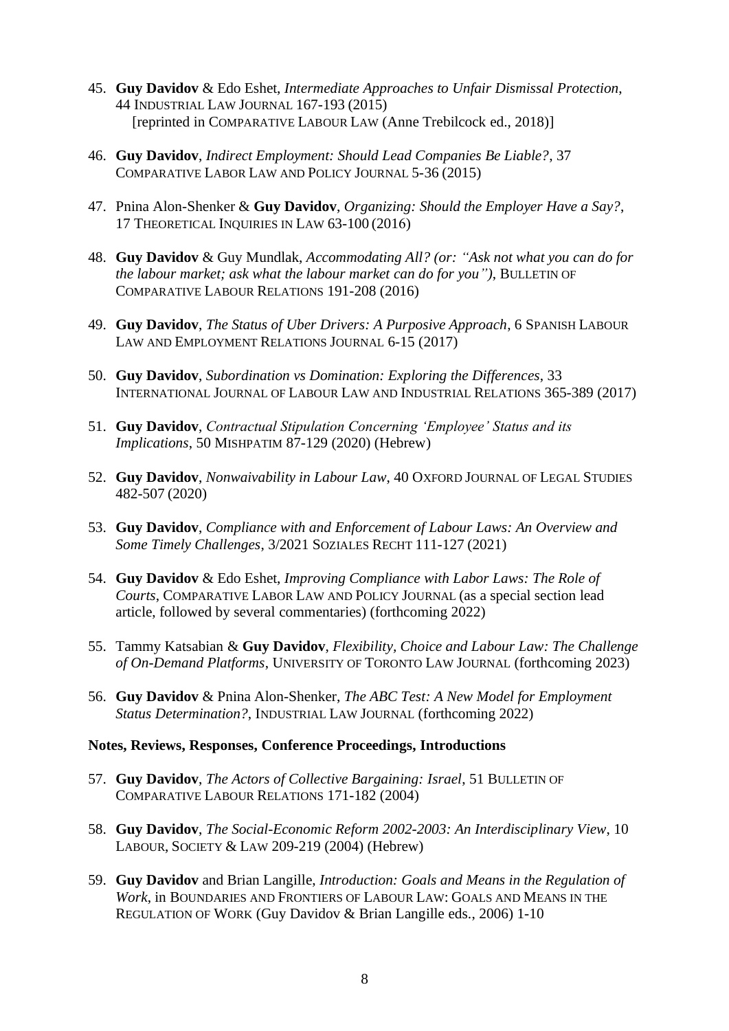- 45. **Guy Davidov** & Edo Eshet, *Intermediate Approaches to Unfair Dismissal Protection*, 44 INDUSTRIAL LAW JOURNAL 167-193 (2015) [reprinted in COMPARATIVE LABOUR LAW (Anne Trebilcock ed., 2018)]
- 46. **Guy Davidov**, *Indirect Employment: Should Lead Companies Be Liable?*, 37 COMPARATIVE LABOR LAW AND POLICY JOURNAL 5-36 (2015)
- 47. Pnina Alon-Shenker & **Guy Davidov**, *Organizing: Should the Employer Have a Say?*, 17 THEORETICAL INQUIRIES IN LAW 63-100 (2016)
- 48. **Guy Davidov** & Guy Mundlak, *Accommodating All? (or: "Ask not what you can do for the labour market; ask what the labour market can do for you")*, BULLETIN OF COMPARATIVE LABOUR RELATIONS 191-208 (2016)
- 49. **Guy Davidov**, *The Status of Uber Drivers: A Purposive Approach*, 6 SPANISH LABOUR LAW AND EMPLOYMENT RELATIONS JOURNAL 6-15 (2017)
- 50. **Guy Davidov**, *Subordination vs Domination: Exploring the Differences*, 33 INTERNATIONAL JOURNAL OF LABOUR LAW AND INDUSTRIAL RELATIONS 365-389 (2017)
- 51. **Guy Davidov**, *Contractual Stipulation Concerning 'Employee' Status and its Implications*, 50 MISHPATIM 87-129 (2020) (Hebrew)
- 52. **Guy Davidov**, *Nonwaivability in Labour Law*, 40 OXFORD JOURNAL OF LEGAL STUDIES 482-507 (2020)
- 53. **Guy Davidov**, *Compliance with and Enforcement of Labour Laws: An Overview and Some Timely Challenges*, 3/2021 SOZIALES RECHT 111-127 (2021)
- 54. **Guy Davidov** & Edo Eshet, *Improving Compliance with Labor Laws: The Role of Courts*, COMPARATIVE LABOR LAW AND POLICY JOURNAL (as a special section lead article, followed by several commentaries) (forthcoming 2022)
- 55. Tammy Katsabian & **Guy Davidov**, *Flexibility, Choice and Labour Law: The Challenge of On-Demand Platforms*, UNIVERSITY OF TORONTO LAW JOURNAL (forthcoming 2023)
- 56. **Guy Davidov** & Pnina Alon-Shenker, *The ABC Test: A New Model for Employment Status Determination?*, INDUSTRIAL LAW JOURNAL (forthcoming 2022)

### **Notes, Reviews, Responses, Conference Proceedings, Introductions**

- 57. **Guy Davidov**, *The Actors of Collective Bargaining: Israel*, 51 BULLETIN OF COMPARATIVE LABOUR RELATIONS 171-182 (2004)
- 58. **Guy Davidov**, *The Social-Economic Reform 2002-2003: An Interdisciplinary View*, 10 LABOUR, SOCIETY & LAW 209-219 (2004) (Hebrew)
- 59. **Guy Davidov** and Brian Langille, *Introduction: Goals and Means in the Regulation of Work*, in BOUNDARIES AND FRONTIERS OF LABOUR LAW: GOALS AND MEANS IN THE REGULATION OF WORK (Guy Davidov & Brian Langille eds., 2006) 1-10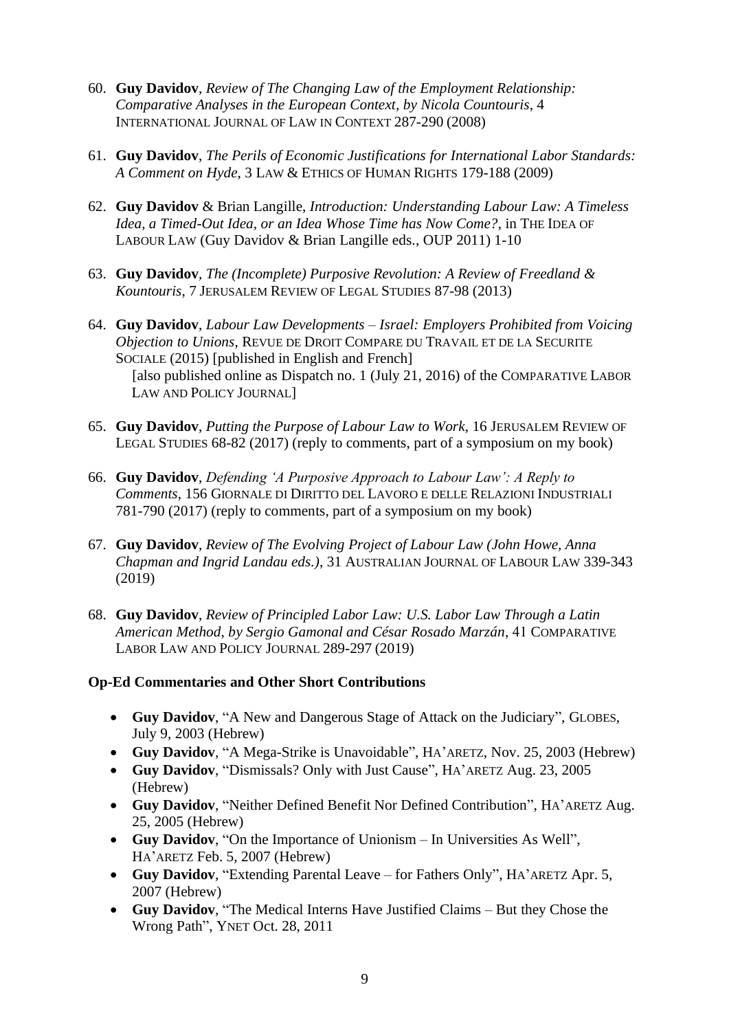- 60. **Guy Davidov**, *Review of The Changing Law of the Employment Relationship: Comparative Analyses in the European Context, by Nicola Countouris*, 4 INTERNATIONAL JOURNAL OF LAW IN CONTEXT 287-290 (2008)
- 61. **Guy Davidov**, *The Perils of Economic Justifications for International Labor Standards: A Comment on Hyde*, 3 LAW & ETHICS OF HUMAN RIGHTS 179-188 (2009)
- 62. **Guy Davidov** & Brian Langille, *Introduction: Understanding Labour Law: A Timeless Idea, a Timed-Out Idea, or an Idea Whose Time has Now Come?*, in THE IDEA OF LABOUR LAW (Guy Davidov & Brian Langille eds., OUP 2011) 1-10
- 63. **Guy Davidov**, *The (Incomplete) Purposive Revolution: A Review of Freedland & Kountouris*, 7 JERUSALEM REVIEW OF LEGAL STUDIES 87-98 (2013)
- 64. **Guy Davidov**, *Labour Law Developments – Israel: Employers Prohibited from Voicing Objection to Unions*, REVUE DE DROIT COMPARE DU TRAVAIL ET DE LA SECURITE SOCIALE (2015) [published in English and French] [also published online as Dispatch no. 1 (July 21, 2016) of the COMPARATIVE LABOR LAW AND POLICY JOURNAL]
- 65. **Guy Davidov**, *Putting the Purpose of Labour Law to Work*, 16 JERUSALEM REVIEW OF LEGAL STUDIES 68-82 (2017) (reply to comments, part of a symposium on my book)
- 66. **Guy Davidov**, *Defending 'A Purposive Approach to Labour Law': A Reply to Comments*, 156 GIORNALE DI DIRITTO DEL LAVORO E DELLE RELAZIONI INDUSTRIALI 781-790 (2017) (reply to comments, part of a symposium on my book)
- 67. **Guy Davidov**, *Review of The Evolving Project of Labour Law (John Howe, Anna Chapman and Ingrid Landau eds.)*, 31 AUSTRALIAN JOURNAL OF LABOUR LAW 339-343 (2019)
- 68. **Guy Davidov**, *Review of Principled Labor Law: U.S. Labor Law Through a Latin American Method*, *by Sergio Gamonal and César Rosado Marzán*, 41 COMPARATIVE LABOR LAW AND POLICY JOURNAL 289-297 (2019)

## **Op-Ed Commentaries and Other Short Contributions**

- **Guy Davidov**, "A New and Dangerous Stage of Attack on the Judiciary", GLOBES, July 9, 2003 (Hebrew)
- **Guy Davidov**, "A Mega-Strike is Unavoidable", HA'ARETZ, Nov. 25, 2003 (Hebrew)
- **Guy Davidov**, "Dismissals? Only with Just Cause", HA'ARETZ Aug. 23, 2005 (Hebrew)
- **Guy Davidov**, "Neither Defined Benefit Nor Defined Contribution", HA'ARETZ Aug. 25, 2005 (Hebrew)
- **Guy Davidov**, "On the Importance of Unionism In Universities As Well", HA'ARETZ Feb. 5, 2007 (Hebrew)
- **Guy Davidov**, "Extending Parental Leave for Fathers Only", HA'ARETZ Apr. 5, 2007 (Hebrew)
- **Guy Davidov**, "The Medical Interns Have Justified Claims But they Chose the Wrong Path", YNET Oct. 28, 2011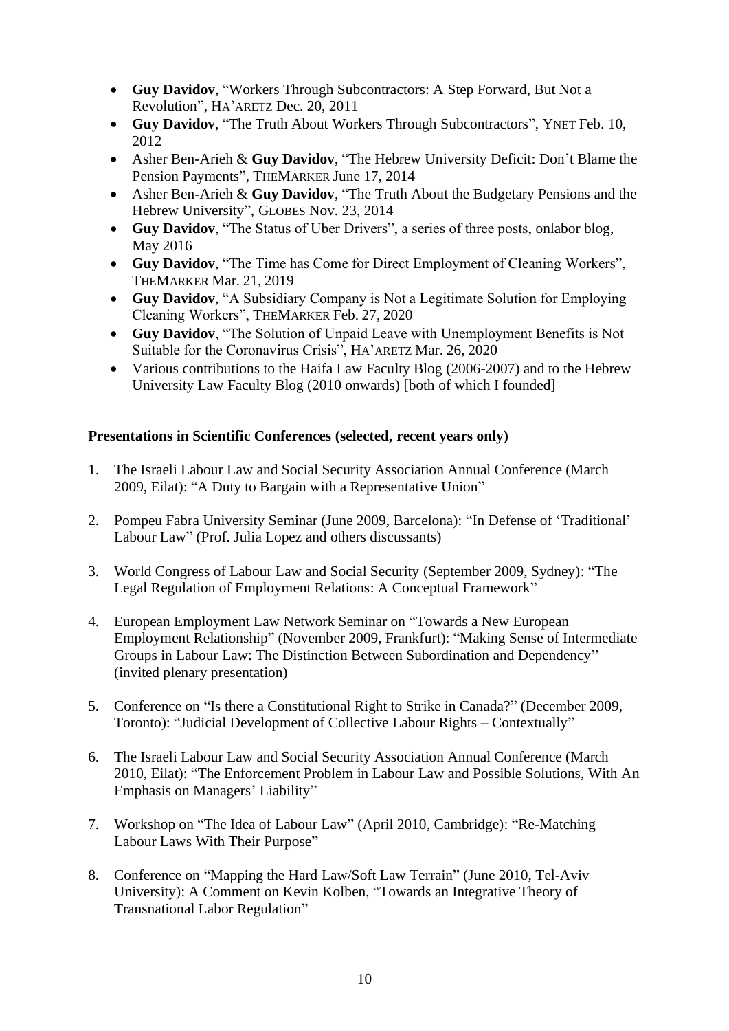- **Guy Davidov**, "Workers Through Subcontractors: A Step Forward, But Not a Revolution", HA'ARETZ Dec. 20, 2011
- **Guy Davidov**, "The Truth About Workers Through Subcontractors", YNET Feb. 10, 2012
- Asher Ben-Arieh & **Guy Davidov**, "The Hebrew University Deficit: Don't Blame the Pension Payments", THEMARKER June 17, 2014
- Asher Ben-Arieh & **Guy Davidov**, "The Truth About the Budgetary Pensions and the Hebrew University", GLOBES Nov. 23, 2014
- **Guy Davidov**, "The Status of Uber Drivers", a series of three posts, onlabor blog, May 2016
- **Guy Davidov**, "The Time has Come for Direct Employment of Cleaning Workers", THEMARKER Mar. 21, 2019
- **Guy Davidov**, "A Subsidiary Company is Not a Legitimate Solution for Employing Cleaning Workers", THEMARKER Feb. 27, 2020
- **Guy Davidov**, "The Solution of Unpaid Leave with Unemployment Benefits is Not Suitable for the Coronavirus Crisis", HA'ARETZ Mar. 26, 2020
- Various contributions to the Haifa Law Faculty Blog (2006-2007) and to the Hebrew University Law Faculty Blog (2010 onwards) [both of which I founded]

## **Presentations in Scientific Conferences (selected, recent years only)**

- 1. The Israeli Labour Law and Social Security Association Annual Conference (March 2009, Eilat): "A Duty to Bargain with a Representative Union"
- 2. Pompeu Fabra University Seminar (June 2009, Barcelona): "In Defense of 'Traditional' Labour Law" (Prof. Julia Lopez and others discussants)
- 3. World Congress of Labour Law and Social Security (September 2009, Sydney): "The Legal Regulation of Employment Relations: A Conceptual Framework"
- 4. European Employment Law Network Seminar on "Towards a New European Employment Relationship" (November 2009, Frankfurt): "Making Sense of Intermediate Groups in Labour Law: The Distinction Between Subordination and Dependency" (invited plenary presentation)
- 5. Conference on "Is there a Constitutional Right to Strike in Canada?" (December 2009, Toronto): "Judicial Development of Collective Labour Rights – Contextually"
- 6. The Israeli Labour Law and Social Security Association Annual Conference (March 2010, Eilat): "The Enforcement Problem in Labour Law and Possible Solutions, With An Emphasis on Managers' Liability"
- 7. Workshop on "The Idea of Labour Law" (April 2010, Cambridge): "Re-Matching Labour Laws With Their Purpose"
- 8. Conference on "Mapping the Hard Law/Soft Law Terrain" (June 2010, Tel-Aviv University): A Comment on Kevin Kolben, "Towards an Integrative Theory of Transnational Labor Regulation"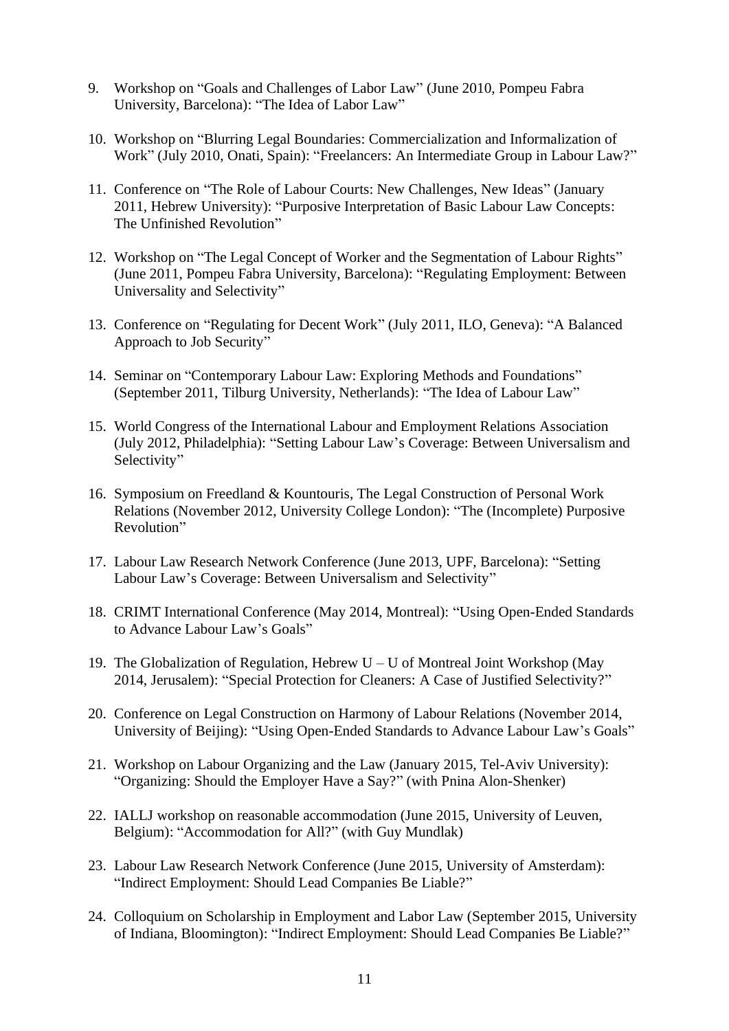- 9. Workshop on "Goals and Challenges of Labor Law" (June 2010, Pompeu Fabra University, Barcelona): "The Idea of Labor Law"
- 10. Workshop on "Blurring Legal Boundaries: Commercialization and Informalization of Work" (July 2010, Onati, Spain): "Freelancers: An Intermediate Group in Labour Law?"
- 11. Conference on "The Role of Labour Courts: New Challenges, New Ideas" (January 2011, Hebrew University): "Purposive Interpretation of Basic Labour Law Concepts: The Unfinished Revolution"
- 12. Workshop on "The Legal Concept of Worker and the Segmentation of Labour Rights" (June 2011, Pompeu Fabra University, Barcelona): "Regulating Employment: Between Universality and Selectivity"
- 13. Conference on "Regulating for Decent Work" (July 2011, ILO, Geneva): "A Balanced Approach to Job Security"
- 14. Seminar on "Contemporary Labour Law: Exploring Methods and Foundations" (September 2011, Tilburg University, Netherlands): "The Idea of Labour Law"
- 15. World Congress of the International Labour and Employment Relations Association (July 2012, Philadelphia): "Setting Labour Law's Coverage: Between Universalism and Selectivity"
- 16. Symposium on Freedland & Kountouris, The Legal Construction of Personal Work Relations (November 2012, University College London): "The (Incomplete) Purposive Revolution"
- 17. Labour Law Research Network Conference (June 2013, UPF, Barcelona): "Setting Labour Law's Coverage: Between Universalism and Selectivity"
- 18. CRIMT International Conference (May 2014, Montreal): "Using Open-Ended Standards to Advance Labour Law's Goals"
- 19. The Globalization of Regulation, Hebrew  $U U$  of Montreal Joint Workshop (May 2014, Jerusalem): "Special Protection for Cleaners: A Case of Justified Selectivity?"
- 20. Conference on Legal Construction on Harmony of Labour Relations (November 2014, University of Beijing): "Using Open-Ended Standards to Advance Labour Law's Goals"
- 21. Workshop on Labour Organizing and the Law (January 2015, Tel-Aviv University): "Organizing: Should the Employer Have a Say?" (with Pnina Alon-Shenker)
- 22. IALLJ workshop on reasonable accommodation (June 2015, University of Leuven, Belgium): "Accommodation for All?" (with Guy Mundlak)
- 23. Labour Law Research Network Conference (June 2015, University of Amsterdam): "Indirect Employment: Should Lead Companies Be Liable?"
- 24. Colloquium on Scholarship in Employment and Labor Law (September 2015, University of Indiana, Bloomington): "Indirect Employment: Should Lead Companies Be Liable?"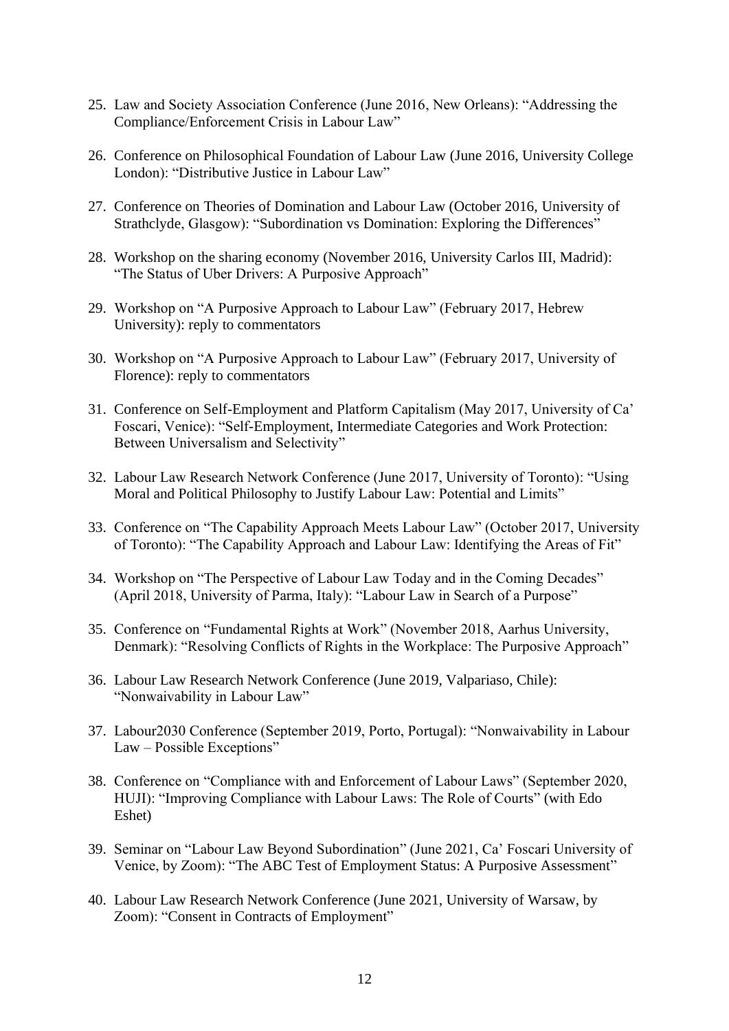- 25. Law and Society Association Conference (June 2016, New Orleans): "Addressing the Compliance/Enforcement Crisis in Labour Law"
- 26. Conference on Philosophical Foundation of Labour Law (June 2016, University College London): "Distributive Justice in Labour Law"
- 27. Conference on Theories of Domination and Labour Law (October 2016, University of Strathclyde, Glasgow): "Subordination vs Domination: Exploring the Differences"
- 28. Workshop on the sharing economy (November 2016, University Carlos III, Madrid): "The Status of Uber Drivers: A Purposive Approach"
- 29. Workshop on "A Purposive Approach to Labour Law" (February 2017, Hebrew University): reply to commentators
- 30. Workshop on "A Purposive Approach to Labour Law" (February 2017, University of Florence): reply to commentators
- 31. Conference on Self-Employment and Platform Capitalism (May 2017, University of Ca' Foscari, Venice): "Self-Employment, Intermediate Categories and Work Protection: Between Universalism and Selectivity"
- 32. Labour Law Research Network Conference (June 2017, University of Toronto): "Using Moral and Political Philosophy to Justify Labour Law: Potential and Limits"
- 33. Conference on "The Capability Approach Meets Labour Law" (October 2017, University of Toronto): "The Capability Approach and Labour Law: Identifying the Areas of Fit"
- 34. Workshop on "The Perspective of Labour Law Today and in the Coming Decades" (April 2018, University of Parma, Italy): "Labour Law in Search of a Purpose"
- 35. Conference on "Fundamental Rights at Work" (November 2018, Aarhus University, Denmark): "Resolving Conflicts of Rights in the Workplace: The Purposive Approach"
- 36. Labour Law Research Network Conference (June 2019, Valpariaso, Chile): "Nonwaivability in Labour Law"
- 37. Labour2030 Conference (September 2019, Porto, Portugal): "Nonwaivability in Labour Law – Possible Exceptions"
- 38. Conference on "Compliance with and Enforcement of Labour Laws" (September 2020, HUJI): "Improving Compliance with Labour Laws: The Role of Courts" (with Edo Eshet)
- 39. Seminar on "Labour Law Beyond Subordination" (June 2021, Ca' Foscari University of Venice, by Zoom): "The ABC Test of Employment Status: A Purposive Assessment"
- 40. Labour Law Research Network Conference (June 2021, University of Warsaw, by Zoom): "Consent in Contracts of Employment"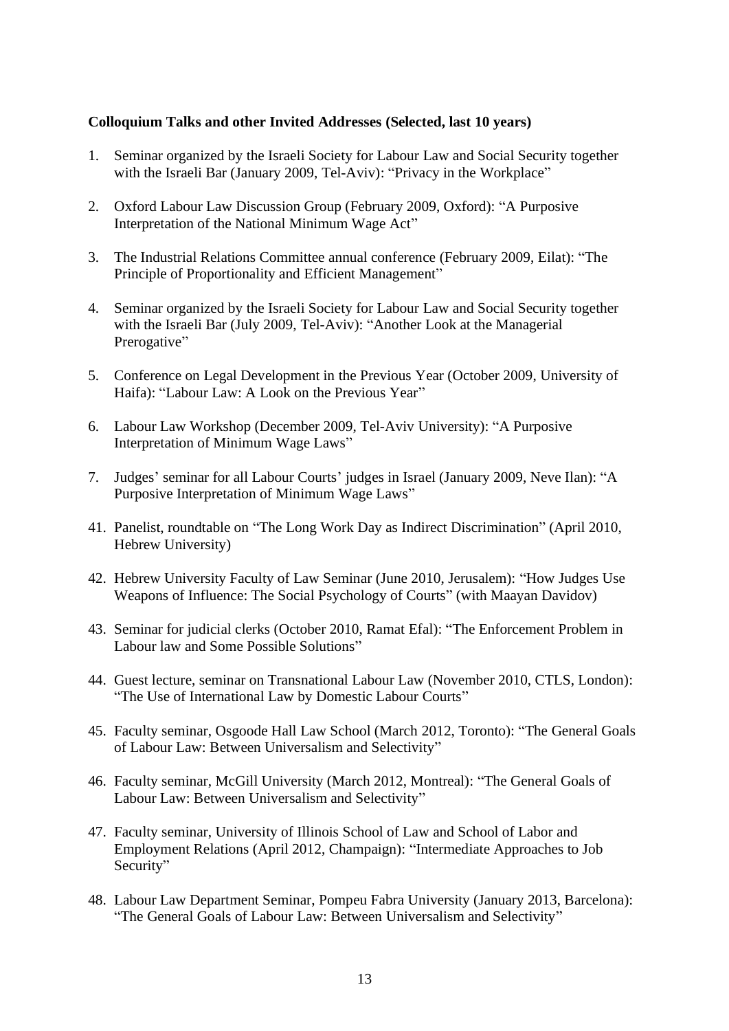### **Colloquium Talks and other Invited Addresses (Selected, last 10 years)**

- 1. Seminar organized by the Israeli Society for Labour Law and Social Security together with the Israeli Bar (January 2009, Tel-Aviv): "Privacy in the Workplace"
- 2. Oxford Labour Law Discussion Group (February 2009, Oxford): "A Purposive Interpretation of the National Minimum Wage Act"
- 3. The Industrial Relations Committee annual conference (February 2009, Eilat): "The Principle of Proportionality and Efficient Management"
- 4. Seminar organized by the Israeli Society for Labour Law and Social Security together with the Israeli Bar (July 2009, Tel-Aviv): "Another Look at the Managerial Prerogative"
- 5. Conference on Legal Development in the Previous Year (October 2009, University of Haifa): "Labour Law: A Look on the Previous Year"
- 6. Labour Law Workshop (December 2009, Tel-Aviv University): "A Purposive Interpretation of Minimum Wage Laws"
- 7. Judges' seminar for all Labour Courts' judges in Israel (January 2009, Neve Ilan): "A Purposive Interpretation of Minimum Wage Laws"
- 41. Panelist, roundtable on "The Long Work Day as Indirect Discrimination" (April 2010, Hebrew University)
- 42. Hebrew University Faculty of Law Seminar (June 2010, Jerusalem): "How Judges Use Weapons of Influence: The Social Psychology of Courts" (with Maayan Davidov)
- 43. Seminar for judicial clerks (October 2010, Ramat Efal): "The Enforcement Problem in Labour law and Some Possible Solutions"
- 44. Guest lecture, seminar on Transnational Labour Law (November 2010, CTLS, London): "The Use of International Law by Domestic Labour Courts"
- 45. Faculty seminar, Osgoode Hall Law School (March 2012, Toronto): "The General Goals of Labour Law: Between Universalism and Selectivity"
- 46. Faculty seminar, McGill University (March 2012, Montreal): "The General Goals of Labour Law: Between Universalism and Selectivity"
- 47. Faculty seminar, University of Illinois School of Law and School of Labor and Employment Relations (April 2012, Champaign): "Intermediate Approaches to Job Security"
- 48. Labour Law Department Seminar, Pompeu Fabra University (January 2013, Barcelona): "The General Goals of Labour Law: Between Universalism and Selectivity"